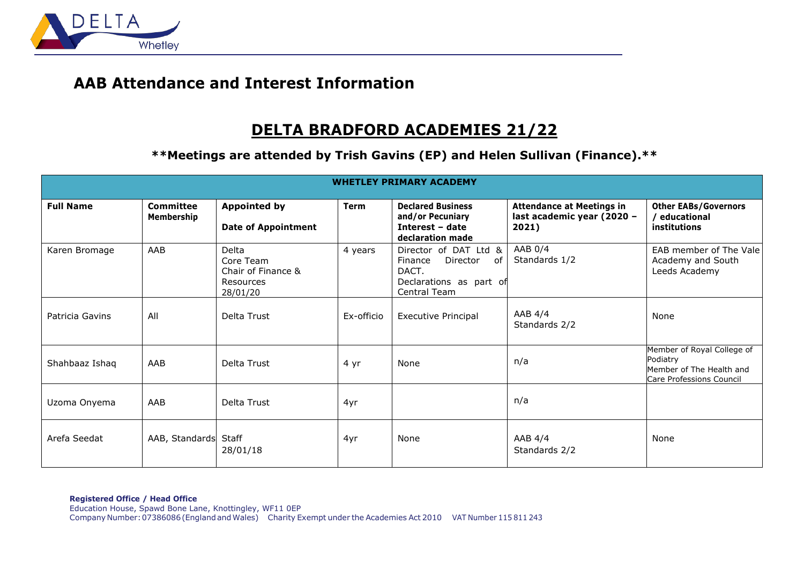

## **AAB Attendance and Interest Information**

## **DELTA BRADFORD ACADEMIES 21/22**

**\*\*Meetings are attended by Trish Gavins (EP) and Helen Sullivan (Finance).\*\***

| <b>WHETLEY PRIMARY ACADEMY</b> |                         |                                                                   |             |                                                                                                        |                                                                         |                                                                                                |  |  |  |  |
|--------------------------------|-------------------------|-------------------------------------------------------------------|-------------|--------------------------------------------------------------------------------------------------------|-------------------------------------------------------------------------|------------------------------------------------------------------------------------------------|--|--|--|--|
| <b>Full Name</b>               | Committee<br>Membership | <b>Appointed by</b><br><b>Date of Appointment</b>                 | <b>Term</b> | <b>Declared Business</b><br>and/or Pecuniary<br>Interest - date<br>declaration made                    | <b>Attendance at Meetings in</b><br>last academic year (2020 -<br>2021) | <b>Other EABs/Governors</b><br>educational<br>institutions                                     |  |  |  |  |
| Karen Bromage                  | AAB                     | Delta<br>Core Team<br>Chair of Finance &<br>Resources<br>28/01/20 | 4 years     | Director of DAT Ltd &<br>Director<br>Finance<br>of<br>DACT.<br>Declarations as part of<br>Central Team | AAB $0/4$<br>Standards 1/2                                              | EAB member of The Vale<br>Academy and South<br>Leeds Academy                                   |  |  |  |  |
| Patricia Gavins                | All                     | Delta Trust                                                       | Ex-officio  | <b>Executive Principal</b>                                                                             | AAB $4/4$<br>Standards 2/2                                              | None                                                                                           |  |  |  |  |
| Shahbaaz Ishaq                 | AAB                     | Delta Trust                                                       | 4 yr        | None                                                                                                   | n/a                                                                     | Member of Royal College of<br>Podiatry<br>Member of The Health and<br>Care Professions Council |  |  |  |  |
| Uzoma Onyema                   | AAB                     | Delta Trust                                                       | 4yr         |                                                                                                        | n/a                                                                     |                                                                                                |  |  |  |  |
| Arefa Seedat                   | AAB, Standards Staff    | 28/01/18                                                          | 4yr         | None                                                                                                   | AAB $4/4$<br>Standards 2/2                                              | None                                                                                           |  |  |  |  |

**Registered Office / Head Office** Education House, Spawd Bone Lane, Knottingley, WF11 0EP CompanyNumber:07386086(EnglandandWales) Charity Exempt under the Academies Act 2010 VAT Number 115 811 243